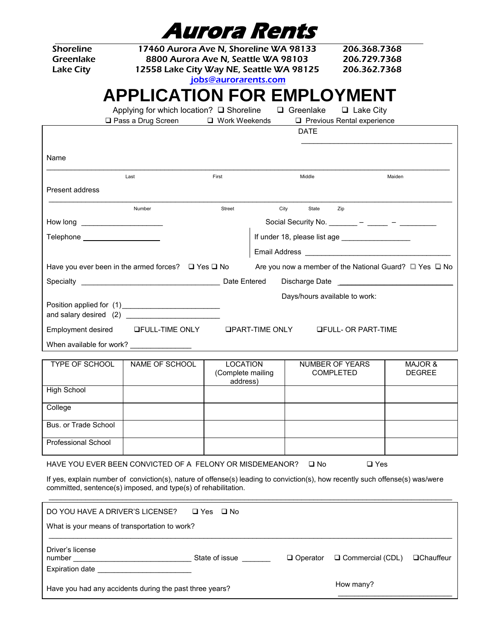|                                                                                  |                                                                                                                                                                                                                                                             | A <i>urora Rents</i>                             |      |                  |                                                   |                                                        |
|----------------------------------------------------------------------------------|-------------------------------------------------------------------------------------------------------------------------------------------------------------------------------------------------------------------------------------------------------------|--------------------------------------------------|------|------------------|---------------------------------------------------|--------------------------------------------------------|
| <b>Shoreline</b><br>Greenlake<br><b>Lake City</b>                                | 17460 Aurora Ave N, Shoreline WA 98133<br>8800 Aurora Ave N, Seattle WA 98103<br>12558 Lake City Way NE, Seattle WA 98125                                                                                                                                   | jobs@aurorarents.com                             |      |                  | 206.368.7368<br>206.729.7368<br>206.362.7368      |                                                        |
|                                                                                  | <b>APPLICATION FOR EMPLOYMENT</b>                                                                                                                                                                                                                           |                                                  |      |                  |                                                   |                                                        |
|                                                                                  | Applying for which location? □ Shoreline<br>□ Pass a Drug Screen                                                                                                                                                                                            | □ Work Weekends                                  |      | $\Box$ Greenlake | $\Box$ Lake City<br>Previous Rental experience    |                                                        |
|                                                                                  |                                                                                                                                                                                                                                                             |                                                  |      | <b>DATE</b>      |                                                   |                                                        |
| Name                                                                             |                                                                                                                                                                                                                                                             |                                                  |      |                  |                                                   |                                                        |
|                                                                                  | Last                                                                                                                                                                                                                                                        | First                                            |      | Middle           |                                                   | Maiden                                                 |
| Present address                                                                  |                                                                                                                                                                                                                                                             |                                                  |      |                  |                                                   |                                                        |
|                                                                                  | Number                                                                                                                                                                                                                                                      | Street                                           | City | State            | Zip                                               |                                                        |
| How long _________________________                                               |                                                                                                                                                                                                                                                             |                                                  |      |                  | Social Security No. _________ - ______ - ________ |                                                        |
| Telephone ____________________                                                   |                                                                                                                                                                                                                                                             |                                                  |      |                  | If under 18, please list age __________________   |                                                        |
|                                                                                  |                                                                                                                                                                                                                                                             |                                                  |      |                  |                                                   |                                                        |
|                                                                                  | Have you ever been in the armed forces? $\Box$ Yes $\Box$ No                                                                                                                                                                                                |                                                  |      |                  |                                                   | Are you now a member of the National Guard? □ Yes □ No |
|                                                                                  |                                                                                                                                                                                                                                                             |                                                  |      |                  |                                                   |                                                        |
|                                                                                  | Position applied for (1)_____________________________                                                                                                                                                                                                       |                                                  |      |                  | Days/hours available to work:                     |                                                        |
|                                                                                  | Employment desired LFULL-TIME ONLY LPART-TIME ONLY                                                                                                                                                                                                          |                                                  |      |                  | <b>QFULL- OR PART-TIME</b>                        |                                                        |
| When available for work? ________________                                        |                                                                                                                                                                                                                                                             |                                                  |      |                  |                                                   |                                                        |
| <b>TYPE OF SCHOOL</b>                                                            | NAME OF SCHOOL                                                                                                                                                                                                                                              | <b>LOCATION</b><br>(Complete mailing<br>address) |      |                  | NUMBER OF YEARS<br><b>COMPLETED</b>               | <b>MAJOR &amp;</b><br><b>DEGREE</b>                    |
| <b>High School</b>                                                               |                                                                                                                                                                                                                                                             |                                                  |      |                  |                                                   |                                                        |
| College                                                                          |                                                                                                                                                                                                                                                             |                                                  |      |                  |                                                   |                                                        |
| Bus, or Trade School                                                             |                                                                                                                                                                                                                                                             |                                                  |      |                  |                                                   |                                                        |
| <b>Professional School</b>                                                       |                                                                                                                                                                                                                                                             |                                                  |      |                  |                                                   |                                                        |
|                                                                                  | HAVE YOU EVER BEEN CONVICTED OF A FELONY OR MISDEMEANOR?<br>If yes, explain number of conviction(s), nature of offense(s) leading to conviction(s), how recently such offense(s) was/were<br>committed, sentence(s) imposed, and type(s) of rehabilitation. |                                                  |      | $\square$ No     | $\Box$ Yes                                        |                                                        |
| DO YOU HAVE A DRIVER'S LICENSE?<br>What is your means of transportation to work? |                                                                                                                                                                                                                                                             | $\Box$ Yes $\Box$ No                             |      |                  |                                                   |                                                        |
| Driver's license<br>number<br>Expiration date _____________________________      | ____________________________________State of issue _______                                                                                                                                                                                                  |                                                  |      | $\Box$ Operator  | □ Commercial (CDL)                                | <b>QChauffeur</b>                                      |
|                                                                                  | Have you had any accidents during the past three years?                                                                                                                                                                                                     |                                                  |      |                  | How many?                                         |                                                        |